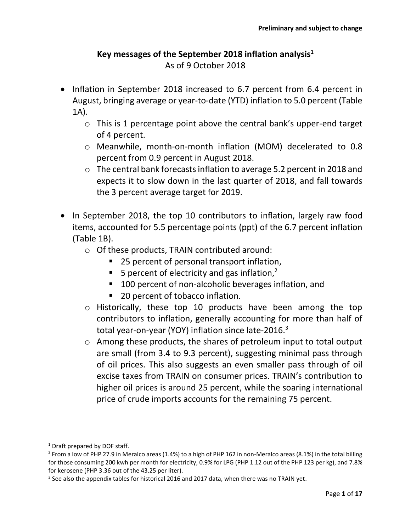# **Key messages of the September 2018 inflation analysis<sup>1</sup>** As of 9 October 2018

- Inflation in September 2018 increased to 6.7 percent from 6.4 percent in August, bringing average or year-to-date (YTD) inflation to 5.0 percent (Table 1A).
	- o This is 1 percentage point above the central bank's upper-end target of 4 percent.
	- o Meanwhile, month-on-month inflation (MOM) decelerated to 0.8 percent from 0.9 percent in August 2018.
	- o The central bank forecasts inflation to average 5.2 percent in 2018 and expects it to slow down in the last quarter of 2018, and fall towards the 3 percent average target for 2019.
- In September 2018, the top 10 contributors to inflation, largely raw food items, accounted for 5.5 percentage points (ppt) of the 6.7 percent inflation (Table 1B).
	- o Of these products, TRAIN contributed around:
		- 25 percent of personal transport inflation,
		- 5 percent of electricity and gas inflation,<sup>2</sup>
		- 100 percent of non-alcoholic beverages inflation, and
		- 20 percent of tobacco inflation.
	- o Historically, these top 10 products have been among the top contributors to inflation, generally accounting for more than half of total year-on-year (YOY) inflation since late-2016.<sup>3</sup>
	- o Among these products, the shares of petroleum input to total output are small (from 3.4 to 9.3 percent), suggesting minimal pass through of oil prices. This also suggests an even smaller pass through of oil excise taxes from TRAIN on consumer prices. TRAIN's contribution to higher oil prices is around 25 percent, while the soaring international price of crude imports accounts for the remaining 75 percent.

l

 $1$  Draft prepared by DOF staff.

<sup>2</sup> From a low of PHP 27.9 in Meralco areas (1.4%) to a high of PHP 162 in non-Meralco areas (8.1%) in the total billing for those consuming 200 kwh per month for electricity, 0.9% for LPG (PHP 1.12 out of the PHP 123 per kg), and 7.8% for kerosene (PHP 3.36 out of the 43.25 per liter).

 $3$  See also the appendix tables for historical 2016 and 2017 data, when there was no TRAIN yet.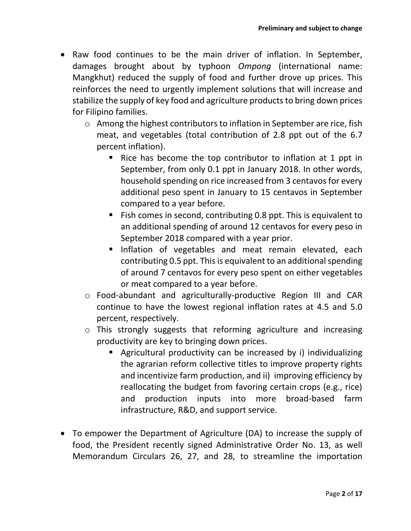- Raw food continues to be the main driver of inflation. In September, damages brought about by typhoon *Ompong* (international name: Mangkhut) reduced the supply of food and further drove up prices. This reinforces the need to urgently implement solutions that will increase and stabilize the supply of key food and agriculture products to bring down prices for Filipino families.
	- o Among the highest contributors to inflation in September are rice, fish meat, and vegetables (total contribution of 2.8 ppt out of the 6.7 percent inflation).
		- Rice has become the top contributor to inflation at 1 ppt in September, from only 0.1 ppt in January 2018. In other words, household spending on rice increased from 3 centavos for every additional peso spent in January to 15 centavos in September compared to a year before.
		- Fish comes in second, contributing 0.8 ppt. This is equivalent to an additional spending of around 12 centavos for every peso in September 2018 compared with a year prior.
		- Inflation of vegetables and meat remain elevated, each contributing 0.5 ppt. This is equivalent to an additional spending of around 7 centavos for every peso spent on either vegetables or meat compared to a year before.
	- o Food-abundant and agriculturally-productive Region III and CAR continue to have the lowest regional inflation rates at 4.5 and 5.0 percent, respectively.
	- o This strongly suggests that reforming agriculture and increasing productivity are key to bringing down prices.
		- Agricultural productivity can be increased by i) individualizing the agrarian reform collective titles to improve property rights and incentivize farm production, and ii) improving efficiency by reallocating the budget from favoring certain crops (e.g., rice) and production inputs into more broad-based farm infrastructure, R&D, and support service.
- To empower the Department of Agriculture (DA) to increase the supply of food, the President recently signed Administrative Order No. 13, as well Memorandum Circulars 26, 27, and 28, to streamline the importation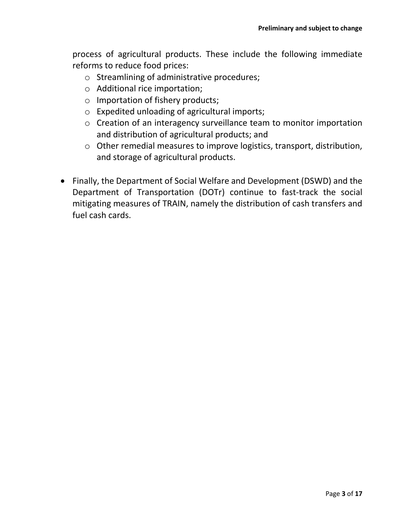process of agricultural products. These include the following immediate reforms to reduce food prices:

- o Streamlining of administrative procedures;
- o Additional rice importation;
- o Importation of fishery products;
- o Expedited unloading of agricultural imports;
- o Creation of an interagency surveillance team to monitor importation and distribution of agricultural products; and
- o Other remedial measures to improve logistics, transport, distribution, and storage of agricultural products.
- Finally, the Department of Social Welfare and Development (DSWD) and the Department of Transportation (DOTr) continue to fast-track the social mitigating measures of TRAIN, namely the distribution of cash transfers and fuel cash cards.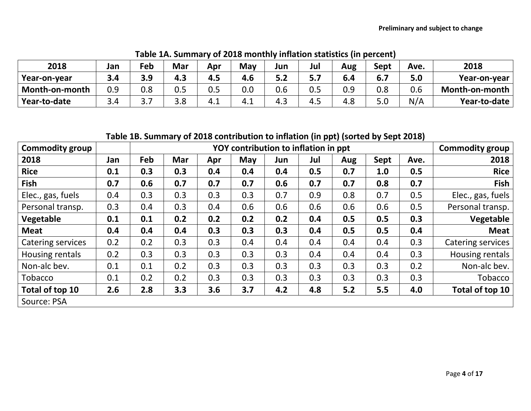| 2018           | Jan | $E$ eb | Mar        | Apr | May | Jun | Jul   | Aug | Sept | Ave. | 2018           |
|----------------|-----|--------|------------|-----|-----|-----|-------|-----|------|------|----------------|
| Year-on-year   |     | 3.9    | 4.3        | 4.5 | 4.6 | 5.2 | 5.7   | 6.4 | o.,  | 5.0  | Year-on-year   |
| Month-on-month | 0.9 | 0.8    | U.J        | 0.5 | 0.0 | 0.6 | 0.5   | 0.9 | 0.8  | 0.6  | Month-on-month |
| Year-to-date   | 3.4 | . د    | າ ດ<br>J.O | 4.1 | 4.⊥ | 4.3 | - 4.ປ | 4.8 | J.U  | N/A  | Year-to-date   |

**Table 1A. Summary of 2018 monthly inflation statistics (in percent)**

**Table 1B. Summary of 2018 contribution to inflation (in ppt) (sorted by Sept 2018)**

| <b>Commodity group</b> |     |     |     |     | <b>Commodity group</b> |     |     |     |      |      |                   |
|------------------------|-----|-----|-----|-----|------------------------|-----|-----|-----|------|------|-------------------|
| 2018                   | Jan | Feb | Mar | Apr | May                    | Jun | Jul | Aug | Sept | Ave. | 2018              |
| <b>Rice</b>            | 0.1 | 0.3 | 0.3 | 0.4 | 0.4                    | 0.4 | 0.5 | 0.7 | 1.0  | 0.5  | <b>Rice</b>       |
| <b>Fish</b>            | 0.7 | 0.6 | 0.7 | 0.7 | 0.7                    | 0.6 | 0.7 | 0.7 | 0.8  | 0.7  | <b>Fish</b>       |
| Elec., gas, fuels      | 0.4 | 0.3 | 0.3 | 0.3 | 0.3                    | 0.7 | 0.9 | 0.8 | 0.7  | 0.5  | Elec., gas, fuels |
| Personal transp.       | 0.3 | 0.4 | 0.3 | 0.4 | 0.6                    | 0.6 | 0.6 | 0.6 | 0.6  | 0.5  | Personal transp.  |
| Vegetable              | 0.1 | 0.1 | 0.2 | 0.2 | 0.2                    | 0.2 | 0.4 | 0.5 | 0.5  | 0.3  | Vegetable         |
| <b>Meat</b>            | 0.4 | 0.4 | 0.4 | 0.3 | 0.3                    | 0.3 | 0.4 | 0.5 | 0.5  | 0.4  | <b>Meat</b>       |
| Catering services      | 0.2 | 0.2 | 0.3 | 0.3 | 0.4                    | 0.4 | 0.4 | 0.4 | 0.4  | 0.3  | Catering services |
| Housing rentals        | 0.2 | 0.3 | 0.3 | 0.3 | 0.3                    | 0.3 | 0.4 | 0.4 | 0.4  | 0.3  | Housing rentals   |
| Non-alc bev.           | 0.1 | 0.1 | 0.2 | 0.3 | 0.3                    | 0.3 | 0.3 | 0.3 | 0.3  | 0.2  | Non-alc bev.      |
| Tobacco                | 0.1 | 0.2 | 0.2 | 0.3 | 0.3                    | 0.3 | 0.3 | 0.3 | 0.3  | 0.3  | Tobacco           |
| Total of top 10        | 2.6 | 2.8 | 3.3 | 3.6 | 3.7                    | 4.2 | 4.8 | 5.2 | 5.5  | 4.0  | Total of top 10   |
| Source: PSA            |     |     |     |     |                        |     |     |     |      |      |                   |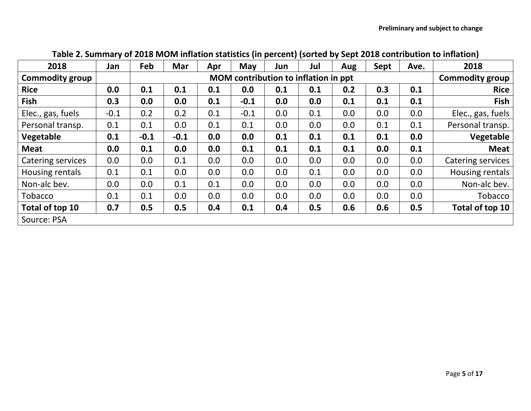| 2018                   | Jan    | Feb    | Mar    | Apr | May                    | Jun | Jul | Aug | Sept | Ave. | 2018              |
|------------------------|--------|--------|--------|-----|------------------------|-----|-----|-----|------|------|-------------------|
| <b>Commodity group</b> |        |        |        |     | <b>Commodity group</b> |     |     |     |      |      |                   |
| <b>Rice</b>            | 0.0    | 0.1    | 0.1    | 0.1 | 0.0                    | 0.1 | 0.1 | 0.2 | 0.3  | 0.1  | <b>Rice</b>       |
| <b>Fish</b>            | 0.3    | 0.0    | 0.0    | 0.1 | $-0.1$                 | 0.0 | 0.0 | 0.1 | 0.1  | 0.1  | <b>Fish</b>       |
| Elec., gas, fuels      | $-0.1$ | 0.2    | 0.2    | 0.1 | $-0.1$                 | 0.0 | 0.1 | 0.0 | 0.0  | 0.0  | Elec., gas, fuels |
| Personal transp.       | 0.1    | 0.1    | 0.0    | 0.1 | 0.1                    | 0.0 | 0.0 | 0.0 | 0.1  | 0.1  | Personal transp.  |
| Vegetable              | 0.1    | $-0.1$ | $-0.1$ | 0.0 | 0.0                    | 0.1 | 0.1 | 0.1 | 0.1  | 0.0  | Vegetable         |
| <b>Meat</b>            | 0.0    | 0.1    | 0.0    | 0.0 | 0.1                    | 0.1 | 0.1 | 0.1 | 0.0  | 0.1  | <b>Meat</b>       |
| Catering services      | 0.0    | 0.0    | 0.1    | 0.0 | 0.0                    | 0.0 | 0.0 | 0.0 | 0.0  | 0.0  | Catering services |
| Housing rentals        | 0.1    | 0.1    | 0.0    | 0.0 | 0.0                    | 0.0 | 0.1 | 0.0 | 0.0  | 0.0  | Housing rentals   |
| Non-alc bev.           | 0.0    | 0.0    | 0.1    | 0.1 | 0.0                    | 0.0 | 0.0 | 0.0 | 0.0  | 0.0  | Non-alc bev.      |
| Tobacco                | 0.1    | 0.1    | 0.0    | 0.0 | 0.0                    | 0.0 | 0.0 | 0.0 | 0.0  | 0.0  | Tobacco           |
| Total of top 10        | 0.7    | 0.5    | 0.5    | 0.4 | 0.1                    | 0.4 | 0.5 | 0.6 | 0.6  | 0.5  | Total of top 10   |
| Source: PSA            |        |        |        |     |                        |     |     |     |      |      |                   |

# **Table 2. Summary of 2018 MOM inflation statistics (in percent) (sorted by Sept 2018 contribution to inflation)**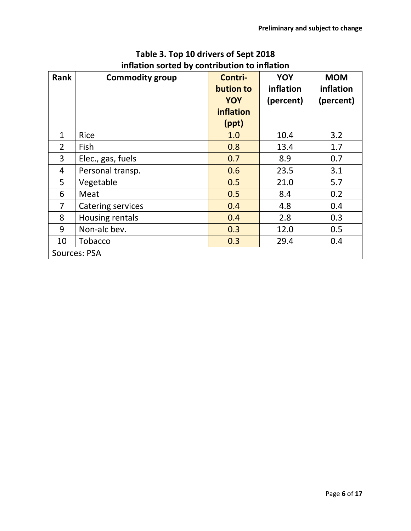| <b>Rank</b>    | <b>Commodity group</b> | Contri-<br>bution to<br>YOY | YOY<br>inflation<br>(percent) | <b>MOM</b><br>inflation<br>(percent) |
|----------------|------------------------|-----------------------------|-------------------------------|--------------------------------------|
|                |                        | inflation                   |                               |                                      |
|                |                        | (ppt)                       |                               |                                      |
| $\mathbf{1}$   | <b>Rice</b>            | 1.0                         | 10.4                          | 3.2                                  |
| $\overline{2}$ | Fish                   | 0.8                         | 13.4                          | 1.7                                  |
| 3              | Elec., gas, fuels      | 0.7                         | 8.9                           | 0.7                                  |
| 4              | Personal transp.       | 0.6                         | 23.5                          | 3.1                                  |
| 5              | Vegetable              | 0.5                         | 21.0                          | 5.7                                  |
| 6              | Meat                   | 0.5                         | 8.4                           | 0.2                                  |
| $\overline{7}$ | Catering services      | 0.4                         | 4.8                           | 0.4                                  |
| 8              | Housing rentals        | 0.4                         | 2.8                           | 0.3                                  |
| 9              | Non-alc bev.           | 0.3                         | 12.0                          | 0.5                                  |
| 10             | <b>Tobacco</b>         | 0.3                         | 29.4                          | 0.4                                  |
|                | Sources: PSA           |                             |                               |                                      |

## **Table 3. Top 10 drivers of Sept 2018 inflation sorted by contribution to inflation**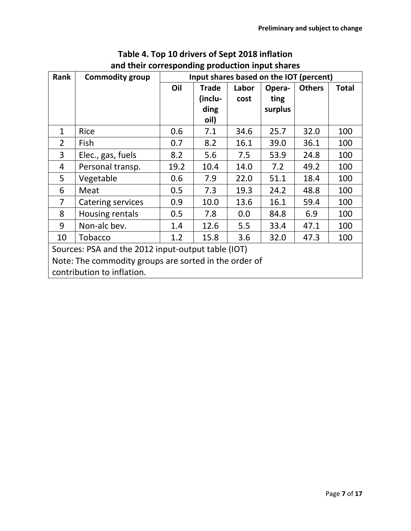| Rank                                                  | <b>Commodity group</b>                                      |      |              |       |         | Input shares based on the IOT (percent) |              |  |  |  |  |  |
|-------------------------------------------------------|-------------------------------------------------------------|------|--------------|-------|---------|-----------------------------------------|--------------|--|--|--|--|--|
|                                                       |                                                             | Oil  | <b>Trade</b> | Labor | Opera-  | <b>Others</b>                           | <b>Total</b> |  |  |  |  |  |
|                                                       |                                                             |      | (inclu-      | cost  | ting    |                                         |              |  |  |  |  |  |
|                                                       |                                                             |      | ding         |       | surplus |                                         |              |  |  |  |  |  |
|                                                       |                                                             |      | oil)         |       |         |                                         |              |  |  |  |  |  |
| $\mathbf{1}$                                          | Rice                                                        | 0.6  | 7.1          | 34.6  | 25.7    | 32.0                                    | 100          |  |  |  |  |  |
| $\overline{2}$                                        | Fish                                                        | 0.7  | 8.2          | 16.1  | 39.0    | 36.1                                    | 100          |  |  |  |  |  |
| 3                                                     | Elec., gas, fuels                                           | 8.2  | 5.6          | 7.5   | 53.9    | 24.8                                    | 100          |  |  |  |  |  |
| 4                                                     | Personal transp.                                            | 19.2 | 10.4         | 14.0  | 7.2     | 49.2                                    | 100          |  |  |  |  |  |
| 5                                                     | Vegetable                                                   | 0.6  | 7.9          | 22.0  | 51.1    | 18.4                                    | 100          |  |  |  |  |  |
| 6                                                     | Meat                                                        | 0.5  | 7.3          | 19.3  | 24.2    | 48.8                                    | 100          |  |  |  |  |  |
| $\overline{7}$                                        | Catering services                                           | 0.9  | 10.0         | 13.6  | 16.1    | 59.4                                    | 100          |  |  |  |  |  |
| 8                                                     | Housing rentals                                             | 0.5  | 7.8          | 0.0   | 84.8    | 6.9                                     | 100          |  |  |  |  |  |
| 9                                                     | Non-alc bev.                                                | 1.4  | 12.6         | 5.5   | 33.4    | 47.1                                    | 100          |  |  |  |  |  |
| 10                                                    | 15.8<br>32.0<br>47.3<br><b>Tobacco</b><br>1.2<br>3.6<br>100 |      |              |       |         |                                         |              |  |  |  |  |  |
| Sources: PSA and the 2012 input-output table (IOT)    |                                                             |      |              |       |         |                                         |              |  |  |  |  |  |
| Note: The commodity groups are sorted in the order of |                                                             |      |              |       |         |                                         |              |  |  |  |  |  |
|                                                       | contribution to inflation.                                  |      |              |       |         |                                         |              |  |  |  |  |  |

# **Table 4. Top 10 drivers of Sept 2018 inflation and their corresponding production input shares**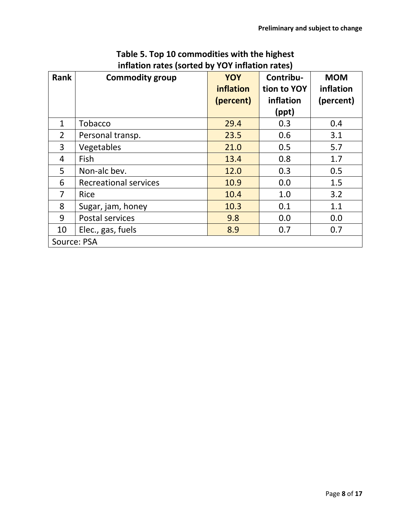| Rank           | <b>Commodity group</b>       | <b>YOY</b><br>inflation<br>(percent) | Contribu-<br>tion to YOY<br>inflation<br>(ppt) | <b>MOM</b><br>inflation<br>(percent) |
|----------------|------------------------------|--------------------------------------|------------------------------------------------|--------------------------------------|
| $\mathbf{1}$   | Tobacco                      | 29.4                                 | 0.3                                            | 0.4                                  |
| 2              | Personal transp.             | 23.5                                 | 0.6                                            | 3.1                                  |
| 3              | Vegetables                   | 21.0                                 | 0.5                                            | 5.7                                  |
| 4              | Fish                         | 13.4                                 | 0.8                                            | 1.7                                  |
| 5              | Non-alc bev.                 | 12.0                                 | 0.3                                            | 0.5                                  |
| 6              | <b>Recreational services</b> | 10.9                                 | 0.0                                            | 1.5                                  |
| $\overline{7}$ | Rice                         | 10.4                                 | 1.0                                            | 3.2                                  |
| 8              | Sugar, jam, honey            | 10.3                                 | 0.1                                            | 1.1                                  |
| 9              | Postal services              | 9.8                                  | 0.0                                            | 0.0                                  |
| 10             | Elec., gas, fuels            | 8.9                                  | 0.7                                            | 0.7                                  |
| Source: PSA    |                              |                                      |                                                |                                      |

# **Table 5. Top 10 commodities with the highest inflation rates (sorted by YOY inflation rates)**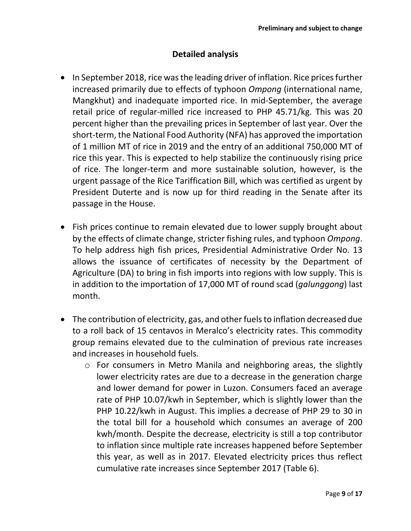#### **Detailed analysis**

- In September 2018, rice was the leading driver of inflation. Rice prices further increased primarily due to effects of typhoon *Ompong* (international name, Mangkhut) and inadequate imported rice. In mid-September, the average retail price of regular-milled rice increased to PHP 45.71/kg. This was 20 percent higher than the prevailing prices in September of last year. Over the short-term, the National Food Authority (NFA) has approved the importation of 1 million MT of rice in 2019 and the entry of an additional 750,000 MT of rice this year. This is expected to help stabilize the continuously rising price of rice. The longer-term and more sustainable solution, however, is the urgent passage of the Rice Tariffication Bill, which was certified as urgent by President Duterte and is now up for third reading in the Senate after its passage in the House.
- Fish prices continue to remain elevated due to lower supply brought about by the effects of climate change, stricter fishing rules, and typhoon *Ompong*. To help address high fish prices, Presidential Administrative Order No. 13 allows the issuance of certificates of necessity by the Department of Agriculture (DA) to bring in fish imports into regions with low supply. This is in addition to the importation of 17,000 MT of round scad (*galunggong*) last month.
- The contribution of electricity, gas, and other fuels to inflation decreased due to a roll back of 15 centavos in Meralco's electricity rates. This commodity group remains elevated due to the culmination of previous rate increases and increases in household fuels.
	- o For consumers in Metro Manila and neighboring areas, the slightly lower electricity rates are due to a decrease in the generation charge and lower demand for power in Luzon. Consumers faced an average rate of PHP 10.07/kwh in September, which is slightly lower than the PHP 10.22/kwh in August. This implies a decrease of PHP 29 to 30 in the total bill for a household which consumes an average of 200 kwh/month. Despite the decrease, electricity is still a top contributor to inflation since multiple rate increases happened before September this year, as well as in 2017. Elevated electricity prices thus reflect cumulative rate increases since September 2017 (Table 6).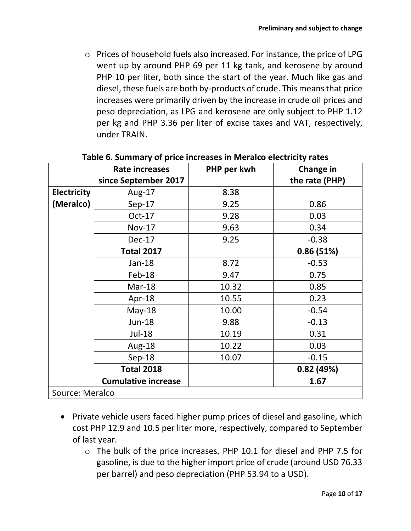o Prices of household fuels also increased. For instance, the price of LPG went up by around PHP 69 per 11 kg tank, and kerosene by around PHP 10 per liter, both since the start of the year. Much like gas and diesel, these fuels are both by-products of crude. This means that price increases were primarily driven by the increase in crude oil prices and peso depreciation, as LPG and kerosene are only subject to PHP 1.12 per kg and PHP 3.36 per liter of excise taxes and VAT, respectively, under TRAIN.

|                    | Rate increases             | PHP per kwh | Change in      |
|--------------------|----------------------------|-------------|----------------|
|                    | since September 2017       |             | the rate (PHP) |
| <b>Electricity</b> | Aug-17                     | 8.38        |                |
| (Meralco)          | $Sep-17$                   | 9.25        | 0.86           |
|                    | $Oct-17$                   | 9.28        | 0.03           |
|                    | <b>Nov-17</b>              | 9.63        | 0.34           |
|                    | Dec-17                     | 9.25        | $-0.38$        |
|                    | <b>Total 2017</b>          |             | 0.86(51%)      |
|                    | Jan-18                     | 8.72        | $-0.53$        |
|                    | Feb-18                     | 9.47        | 0.75           |
|                    | Mar-18                     | 10.32       | 0.85           |
|                    | Apr-18                     | 10.55       | 0.23           |
|                    | $May-18$                   | 10.00       | $-0.54$        |
|                    | <b>Jun-18</b>              | 9.88        | $-0.13$        |
|                    | Jul-18                     | 10.19       | 0.31           |
|                    | Aug-18                     | 10.22       | 0.03           |
|                    | Sep-18                     | 10.07       | $-0.15$        |
|                    | <b>Total 2018</b>          |             | 0.82(49%)      |
|                    | <b>Cumulative increase</b> |             | 1.67           |
| Source: Meralco    |                            |             |                |

#### **Table 6. Summary of price increases in Meralco electricity rates**

- Private vehicle users faced higher pump prices of diesel and gasoline, which cost PHP 12.9 and 10.5 per liter more, respectively, compared to September of last year.
	- o The bulk of the price increases, PHP 10.1 for diesel and PHP 7.5 for gasoline, is due to the higher import price of crude (around USD 76.33 per barrel) and peso depreciation (PHP 53.94 to a USD).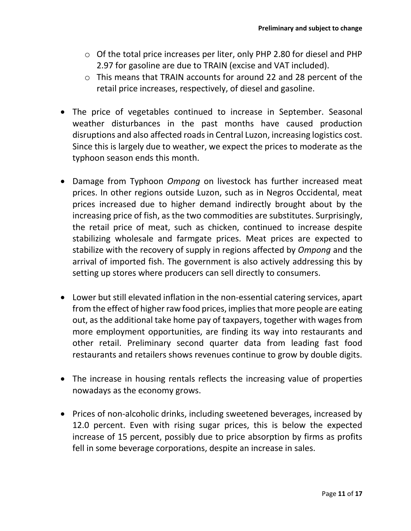- o Of the total price increases per liter, only PHP 2.80 for diesel and PHP 2.97 for gasoline are due to TRAIN (excise and VAT included).
- o This means that TRAIN accounts for around 22 and 28 percent of the retail price increases, respectively, of diesel and gasoline.
- The price of vegetables continued to increase in September. Seasonal weather disturbances in the past months have caused production disruptions and also affected roads in Central Luzon, increasing logistics cost. Since this is largely due to weather, we expect the prices to moderate as the typhoon season ends this month.
- Damage from Typhoon *Ompong* on livestock has further increased meat prices. In other regions outside Luzon, such as in Negros Occidental, meat prices increased due to higher demand indirectly brought about by the increasing price of fish, as the two commodities are substitutes. Surprisingly, the retail price of meat, such as chicken, continued to increase despite stabilizing wholesale and farmgate prices. Meat prices are expected to stabilize with the recovery of supply in regions affected by *Ompong* and the arrival of imported fish. The government is also actively addressing this by setting up stores where producers can sell directly to consumers.
- Lower but still elevated inflation in the non-essential catering services, apart from the effect of higher raw food prices, implies that more people are eating out, as the additional take home pay of taxpayers, together with wages from more employment opportunities, are finding its way into restaurants and other retail. Preliminary second quarter data from leading fast food restaurants and retailers shows revenues continue to grow by double digits.
- The increase in housing rentals reflects the increasing value of properties nowadays as the economy grows.
- Prices of non-alcoholic drinks, including sweetened beverages, increased by 12.0 percent. Even with rising sugar prices, this is below the expected increase of 15 percent, possibly due to price absorption by firms as profits fell in some beverage corporations, despite an increase in sales.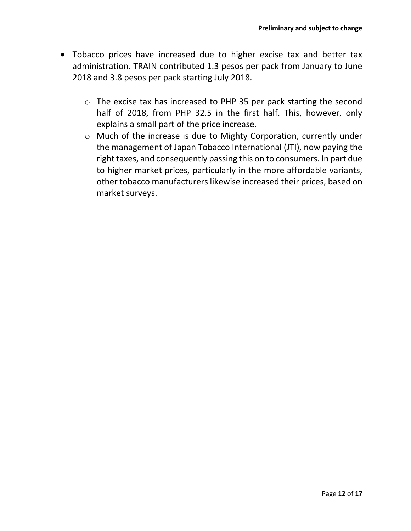- Tobacco prices have increased due to higher excise tax and better tax administration. TRAIN contributed 1.3 pesos per pack from January to June 2018 and 3.8 pesos per pack starting July 2018.
	- o The excise tax has increased to PHP 35 per pack starting the second half of 2018, from PHP 32.5 in the first half. This, however, only explains a small part of the price increase.
	- o Much of the increase is due to Mighty Corporation, currently under the management of Japan Tobacco International (JTI), now paying the right taxes, and consequently passing this on to consumers. In part due to higher market prices, particularly in the more affordable variants, other tobacco manufacturers likewise increased their prices, based on market surveys.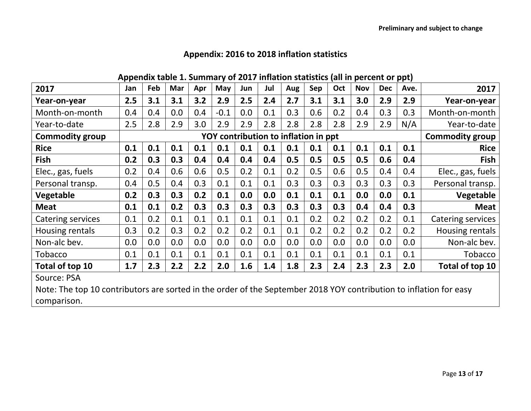|  |  |  | Appendix table 1. Summary of 2017 inflation statistics (all in percent or ppt) |  |  |  |
|--|--|--|--------------------------------------------------------------------------------|--|--|--|
|  |  |  |                                                                                |  |  |  |

| 2017                                                                                                               | Jan | Feb | Mar | Apr | May                                  | Jun | Jul | Aug | Sep | Oct | <b>Nov</b> | <b>Dec</b> | Ave. | 2017                   |
|--------------------------------------------------------------------------------------------------------------------|-----|-----|-----|-----|--------------------------------------|-----|-----|-----|-----|-----|------------|------------|------|------------------------|
| Year-on-year                                                                                                       | 2.5 | 3.1 | 3.1 | 3.2 | 2.9                                  | 2.5 | 2.4 | 2.7 | 3.1 | 3.1 | 3.0        | 2.9        | 2.9  | Year-on-year           |
| Month-on-month                                                                                                     | 0.4 | 0.4 | 0.0 | 0.4 | $-0.1$                               | 0.0 | 0.1 | 0.3 | 0.6 | 0.2 | 0.4        | 0.3        | 0.3  | Month-on-month         |
| Year-to-date                                                                                                       | 2.5 | 2.8 | 2.9 | 3.0 | 2.9                                  | 2.9 | 2.8 | 2.8 | 2.8 | 2.8 | 2.9        | 2.9        | N/A  | Year-to-date           |
| <b>Commodity group</b>                                                                                             |     |     |     |     | YOY contribution to inflation in ppt |     |     |     |     |     |            |            |      | <b>Commodity group</b> |
| <b>Rice</b>                                                                                                        | 0.1 | 0.1 | 0.1 | 0.1 | 0.1                                  | 0.1 | 0.1 | 0.1 | 0.1 | 0.1 | 0.1        | 0.1        | 0.1  | <b>Rice</b>            |
| <b>Fish</b>                                                                                                        | 0.2 | 0.3 | 0.3 | 0.4 | 0.4                                  | 0.4 | 0.4 | 0.5 | 0.5 | 0.5 | 0.5        | 0.6        | 0.4  | Fish                   |
| Elec., gas, fuels                                                                                                  | 0.2 | 0.4 | 0.6 | 0.6 | 0.5                                  | 0.2 | 0.1 | 0.2 | 0.5 | 0.6 | 0.5        | 0.4        | 0.4  | Elec., gas, fuels      |
| Personal transp.                                                                                                   | 0.4 | 0.5 | 0.4 | 0.3 | 0.1                                  | 0.1 | 0.1 | 0.3 | 0.3 | 0.3 | 0.3        | 0.3        | 0.3  | Personal transp.       |
| Vegetable                                                                                                          | 0.2 | 0.3 | 0.3 | 0.2 | 0.1                                  | 0.0 | 0.0 | 0.1 | 0.1 | 0.1 | 0.0        | 0.0        | 0.1  | Vegetable              |
| <b>Meat</b>                                                                                                        | 0.1 | 0.1 | 0.2 | 0.3 | 0.3                                  | 0.3 | 0.3 | 0.3 | 0.3 | 0.3 | 0.4        | 0.4        | 0.3  | <b>Meat</b>            |
| <b>Catering services</b>                                                                                           | 0.1 | 0.2 | 0.1 | 0.1 | 0.1                                  | 0.1 | 0.1 | 0.1 | 0.2 | 0.2 | 0.2        | 0.2        | 0.1  | Catering services      |
| Housing rentals                                                                                                    | 0.3 | 0.2 | 0.3 | 0.2 | 0.2                                  | 0.2 | 0.1 | 0.1 | 0.2 | 0.2 | 0.2        | 0.2        | 0.2  | Housing rentals        |
| Non-alc bev.                                                                                                       | 0.0 | 0.0 | 0.0 | 0.0 | 0.0                                  | 0.0 | 0.0 | 0.0 | 0.0 | 0.0 | 0.0        | 0.0        | 0.0  | Non-alc bev.           |
| Tobacco                                                                                                            | 0.1 | 0.1 | 0.1 | 0.1 | 0.1                                  | 0.1 | 0.1 | 0.1 | 0.1 | 0.1 | 0.1        | 0.1        | 0.1  | <b>Tobacco</b>         |
| Total of top 10                                                                                                    | 1.7 | 2.3 | 2.2 | 2.2 | 2.0                                  | 1.6 | 1.4 | 1.8 | 2.3 | 2.4 | 2.3        | 2.3        | 2.0  | Total of top 10        |
| Source: PSA                                                                                                        |     |     |     |     |                                      |     |     |     |     |     |            |            |      |                        |
| Note: The top 10 contributors are sorted in the order of the September 2018 YOY contribution to inflation for easy |     |     |     |     |                                      |     |     |     |     |     |            |            |      |                        |
| comparison.                                                                                                        |     |     |     |     |                                      |     |     |     |     |     |            |            |      |                        |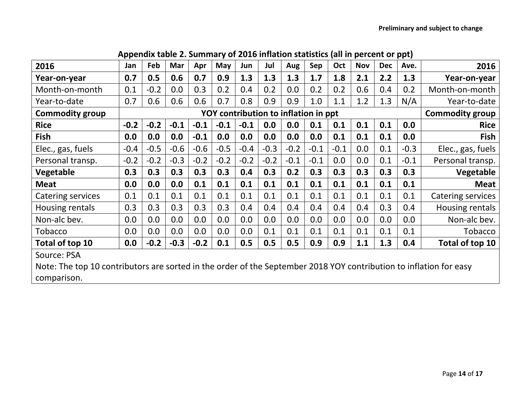| 2016                                                                                                               | Jan    | Feb    | Mar    | Apr    | May    | Jun                                  | Jul    | Aug    | Sep    | Oct    | <b>Nov</b> | <b>Dec</b> | Ave.   | 2016                     |
|--------------------------------------------------------------------------------------------------------------------|--------|--------|--------|--------|--------|--------------------------------------|--------|--------|--------|--------|------------|------------|--------|--------------------------|
| Year-on-year                                                                                                       | 0.7    | 0.5    | 0.6    | 0.7    | 0.9    | 1.3                                  | 1.3    | 1.3    | 1.7    | 1.8    | 2.1        | 2.2        | 1.3    | Year-on-year             |
| Month-on-month                                                                                                     | 0.1    | $-0.2$ | 0.0    | 0.3    | 0.2    | 0.4                                  | 0.2    | 0.0    | 0.2    | 0.2    | 0.6        | 0.4        | 0.2    | Month-on-month           |
| Year-to-date                                                                                                       | 0.7    | 0.6    | 0.6    | 0.6    | 0.7    | 0.8                                  | 0.9    | 0.9    | 1.0    | 1.1    | 1.2        | 1.3        | N/A    | Year-to-date             |
| <b>Commodity group</b>                                                                                             |        |        |        |        |        | YOY contribution to inflation in ppt |        |        |        |        |            |            |        | <b>Commodity group</b>   |
| <b>Rice</b>                                                                                                        | $-0.2$ | $-0.2$ | $-0.1$ | $-0.1$ | $-0.1$ | $-0.1$                               | 0.0    | 0.0    | 0.1    | 0.1    | 0.1        | 0.1        | 0.0    | <b>Rice</b>              |
| <b>Fish</b>                                                                                                        | 0.0    | 0.0    | 0.0    | $-0.1$ | 0.0    | 0.0                                  | 0.0    | 0.0    | 0.0    | 0.1    | 0.1        | 0.1        | 0.0    | <b>Fish</b>              |
| Elec., gas, fuels                                                                                                  | $-0.4$ | $-0.5$ | $-0.6$ | $-0.6$ | $-0.5$ | $-0.4$                               | $-0.3$ | $-0.2$ | $-0.1$ | $-0.1$ | 0.0        | 0.1        | $-0.3$ | Elec., gas, fuels        |
| Personal transp.                                                                                                   | $-0.2$ | $-0.2$ | $-0.3$ | $-0.2$ | $-0.2$ | $-0.2$                               | $-0.2$ | $-0.1$ | $-0.1$ | 0.0    | 0.0        | 0.1        | $-0.1$ | Personal transp.         |
| Vegetable                                                                                                          | 0.3    | 0.3    | 0.3    | 0.3    | 0.3    | 0.4                                  | 0.3    | 0.2    | 0.3    | 0.3    | 0.3        | 0.3        | 0.3    | Vegetable                |
| <b>Meat</b>                                                                                                        | 0.0    | 0.0    | 0.0    | 0.1    | 0.1    | 0.1                                  | 0.1    | 0.1    | 0.1    | 0.1    | 0.1        | 0.1        | 0.1    | <b>Meat</b>              |
| Catering services                                                                                                  | 0.1    | 0.1    | 0.1    | 0.1    | 0.1    | 0.1                                  | 0.1    | 0.1    | 0.1    | 0.1    | 0.1        | 0.1        | 0.1    | <b>Catering services</b> |
| Housing rentals                                                                                                    | 0.3    | 0.3    | 0.3    | 0.3    | 0.3    | 0.4                                  | 0.4    | 0.4    | 0.4    | 0.4    | 0.4        | 0.3        | 0.4    | Housing rentals          |
| Non-alc bev.                                                                                                       | 0.0    | 0.0    | 0.0    | 0.0    | 0.0    | 0.0                                  | 0.0    | 0.0    | 0.0    | 0.0    | 0.0        | 0.0        | 0.0    | Non-alc bev.             |
| Tobacco                                                                                                            | 0.0    | 0.0    | 0.0    | 0.0    | 0.0    | 0.0                                  | 0.1    | 0.1    | 0.1    | 0.1    | 0.1        | 0.1        | 0.1    | <b>Tobacco</b>           |
| Total of top 10                                                                                                    | 0.0    | $-0.2$ | $-0.3$ | $-0.2$ | 0.1    | 0.5                                  | 0.5    | 0.5    | 0.9    | 0.9    | 1.1        | 1.3        | 0.4    | Total of top 10          |
| Source: PSA                                                                                                        |        |        |        |        |        |                                      |        |        |        |        |            |            |        |                          |
| Note: The top 10 contributors are sorted in the order of the September 2018 YOY contribution to inflation for easy |        |        |        |        |        |                                      |        |        |        |        |            |            |        |                          |
| comparison.                                                                                                        |        |        |        |        |        |                                      |        |        |        |        |            |            |        |                          |

**Appendix table 2. Summary of 2016 inflation statistics (all in percent or ppt)**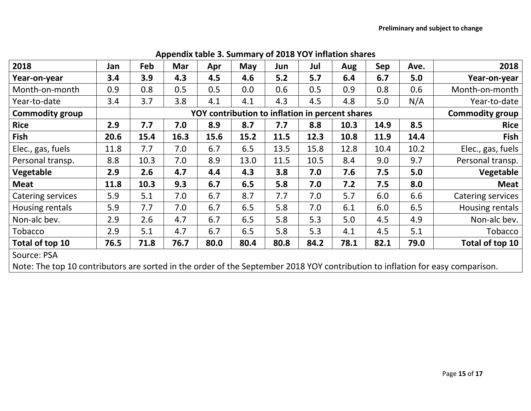| 2018                                                                                                                           | Jan  | Feb  | Mar                                             | Apr  | May                    | Jun  | Jul  | Aug  | Sep  | Ave. | 2018              |
|--------------------------------------------------------------------------------------------------------------------------------|------|------|-------------------------------------------------|------|------------------------|------|------|------|------|------|-------------------|
| Year-on-year                                                                                                                   | 3.4  | 3.9  | 4.3                                             | 4.5  | 4.6                    | 5.2  | 5.7  | 6.4  | 6.7  | 5.0  | Year-on-year      |
| Month-on-month                                                                                                                 | 0.9  | 0.8  | 0.5                                             | 0.5  | 0.0                    | 0.6  | 0.5  | 0.9  | 0.8  | 0.6  | Month-on-month    |
| Year-to-date                                                                                                                   | 3.4  | 3.7  | 3.8                                             | 4.1  | 4.1                    | 4.3  | 4.5  | 4.8  | 5.0  | N/A  | Year-to-date      |
| <b>Commodity group</b>                                                                                                         |      |      | YOY contribution to inflation in percent shares |      | <b>Commodity group</b> |      |      |      |      |      |                   |
| <b>Rice</b>                                                                                                                    | 2.9  | 7.7  | 7.0                                             | 8.9  | 8.7                    | 7.7  | 8.8  | 10.3 | 14.9 | 8.5  | <b>Rice</b>       |
| <b>Fish</b>                                                                                                                    | 20.6 | 15.4 | 16.3                                            | 15.6 | 15.2                   | 11.5 | 12.3 | 10.8 | 11.9 | 14.4 | <b>Fish</b>       |
| Elec., gas, fuels                                                                                                              | 11.8 | 7.7  | 7.0                                             | 6.7  | 6.5                    | 13.5 | 15.8 | 12.8 | 10.4 | 10.2 | Elec., gas, fuels |
| Personal transp.                                                                                                               | 8.8  | 10.3 | 7.0                                             | 8.9  | 13.0                   | 11.5 | 10.5 | 8.4  | 9.0  | 9.7  | Personal transp.  |
| Vegetable                                                                                                                      | 2.9  | 2.6  | 4.7                                             | 4.4  | 4.3                    | 3.8  | 7.0  | 7.6  | 7.5  | 5.0  | Vegetable         |
| <b>Meat</b>                                                                                                                    | 11.8 | 10.3 | 9.3                                             | 6.7  | 6.5                    | 5.8  | 7.0  | 7.2  | 7.5  | 8.0  | <b>Meat</b>       |
| <b>Catering services</b>                                                                                                       | 5.9  | 5.1  | 7.0                                             | 6.7  | 8.7                    | 7.7  | 7.0  | 5.7  | 6.0  | 6.6  | Catering services |
| Housing rentals                                                                                                                | 5.9  | 7.7  | 7.0                                             | 6.7  | 6.5                    | 5.8  | 7.0  | 6.1  | 6.0  | 6.5  | Housing rentals   |
| Non-alc bev.                                                                                                                   | 2.9  | 2.6  | 4.7                                             | 6.7  | 6.5                    | 5.8  | 5.3  | 5.0  | 4.5  | 4.9  | Non-alc bev.      |
| <b>Tobacco</b>                                                                                                                 | 2.9  | 5.1  | 4.7                                             | 6.7  | 6.5                    | 5.8  | 5.3  | 4.1  | 4.5  | 5.1  | Tobacco           |
| Total of top 10                                                                                                                | 76.5 | 71.8 | 76.7                                            | 80.0 | 80.4                   | 80.8 | 84.2 | 78.1 | 82.1 | 79.0 | Total of top 10   |
| Source: PSA                                                                                                                    |      |      |                                                 |      |                        |      |      |      |      |      |                   |
| Note: The top 10 contributors are sorted in the order of the September 2018 YOY contribution to inflation for easy comparison. |      |      |                                                 |      |                        |      |      |      |      |      |                   |

#### **Appendix table 3. Summary of 2018 YOY inflation shares**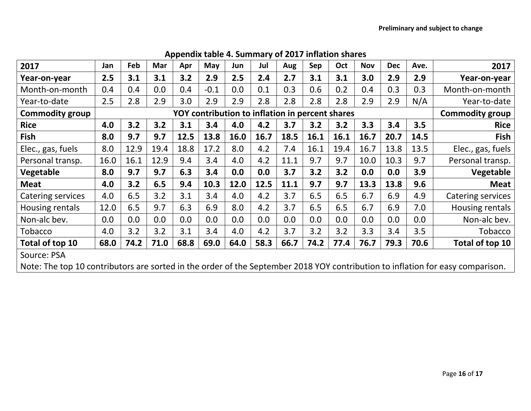| 2017                                                                                                                           | Jan                                             | Feb  | Mar  | Apr  | May    | Jun  | Jul  | Aug  | Sep  | Oct  | <b>Nov</b> | <b>Dec</b>             | Ave. | 2017              |
|--------------------------------------------------------------------------------------------------------------------------------|-------------------------------------------------|------|------|------|--------|------|------|------|------|------|------------|------------------------|------|-------------------|
| Year-on-year                                                                                                                   | 2.5                                             | 3.1  | 3.1  | 3.2  | 2.9    | 2.5  | 2.4  | 2.7  | 3.1  | 3.1  | 3.0        | 2.9                    | 2.9  | Year-on-year      |
| Month-on-month                                                                                                                 | 0.4                                             | 0.4  | 0.0  | 0.4  | $-0.1$ | 0.0  | 0.1  | 0.3  | 0.6  | 0.2  | 0.4        | 0.3                    | 0.3  | Month-on-month    |
| Year-to-date                                                                                                                   | 2.5                                             | 2.8  | 2.9  | 3.0  | 2.9    | 2.9  | 2.8  | 2.8  | 2.8  | 2.8  | 2.9        | 2.9                    | N/A  | Year-to-date      |
| <b>Commodity group</b>                                                                                                         | YOY contribution to inflation in percent shares |      |      |      |        |      |      |      |      |      |            | <b>Commodity group</b> |      |                   |
| <b>Rice</b>                                                                                                                    | 4.0                                             | 3.2  | 3.2  | 3.1  | 3.4    | 4.0  | 4.2  | 3.7  | 3.2  | 3.2  | 3.3        | 3.4                    | 3.5  | <b>Rice</b>       |
| Fish                                                                                                                           | 8.0                                             | 9.7  | 9.7  | 12.5 | 13.8   | 16.0 | 16.7 | 18.5 | 16.1 | 16.1 | 16.7       | 20.7                   | 14.5 | <b>Fish</b>       |
| Elec., gas, fuels                                                                                                              | 8.0                                             | 12.9 | 19.4 | 18.8 | 17.2   | 8.0  | 4.2  | 7.4  | 16.1 | 19.4 | 16.7       | 13.8                   | 13.5 | Elec., gas, fuels |
| Personal transp.                                                                                                               | 16.0                                            | 16.1 | 12.9 | 9.4  | 3.4    | 4.0  | 4.2  | 11.1 | 9.7  | 9.7  | 10.0       | 10.3                   | 9.7  | Personal transp.  |
| <b>Vegetable</b>                                                                                                               | 8.0                                             | 9.7  | 9.7  | 6.3  | 3.4    | 0.0  | 0.0  | 3.7  | 3.2  | 3.2  | 0.0        | 0.0                    | 3.9  | Vegetable         |
| <b>Meat</b>                                                                                                                    | 4.0                                             | 3.2  | 6.5  | 9.4  | 10.3   | 12.0 | 12.5 | 11.1 | 9.7  | 9.7  | 13.3       | 13.8                   | 9.6  | <b>Meat</b>       |
| <b>Catering services</b>                                                                                                       | 4.0                                             | 6.5  | 3.2  | 3.1  | 3.4    | 4.0  | 4.2  | 3.7  | 6.5  | 6.5  | 6.7        | 6.9                    | 4.9  | Catering services |
| Housing rentals                                                                                                                | 12.0                                            | 6.5  | 9.7  | 6.3  | 6.9    | 8.0  | 4.2  | 3.7  | 6.5  | 6.5  | 6.7        | 6.9                    | 7.0  | Housing rentals   |
| Non-alc bev.                                                                                                                   | 0.0                                             | 0.0  | 0.0  | 0.0  | 0.0    | 0.0  | 0.0  | 0.0  | 0.0  | 0.0  | 0.0        | 0.0                    | 0.0  | Non-alc bev.      |
| Tobacco                                                                                                                        | 4.0                                             | 3.2  | 3.2  | 3.1  | 3.4    | 4.0  | 4.2  | 3.7  | 3.2  | 3.2  | 3.3        | 3.4                    | 3.5  | Tobacco           |
| Total of top 10                                                                                                                | 68.0                                            | 74.2 | 71.0 | 68.8 | 69.0   | 64.0 | 58.3 | 66.7 | 74.2 | 77.4 | 76.7       | 79.3                   | 70.6 | Total of top 10   |
| Source: PSA                                                                                                                    |                                                 |      |      |      |        |      |      |      |      |      |            |                        |      |                   |
| Note: The top 10 contributors are sorted in the order of the September 2018 YOY contribution to inflation for easy comparison. |                                                 |      |      |      |        |      |      |      |      |      |            |                        |      |                   |

# **Appendix table 4. Summary of 2017 inflation shares**